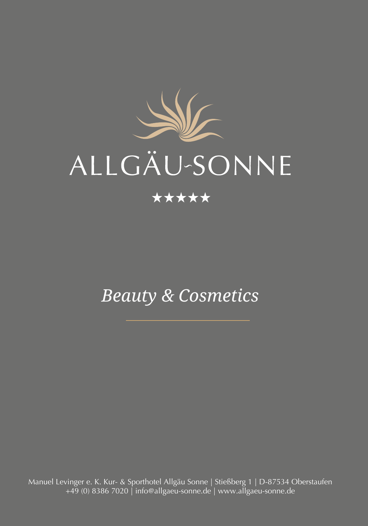

# ALLGÄU-SONNE

### \*\*\*\*\*

# *Beauty & Cosmetics*

Manuel Levinger e. K. Kur- & Sporthotel Allgäu Sonne | Stießberg 1 | D-87534 Oberstaufen +49 (0) 8386 7020 | info@allgaeu-sonne.de | www.allgaeu-sonne.de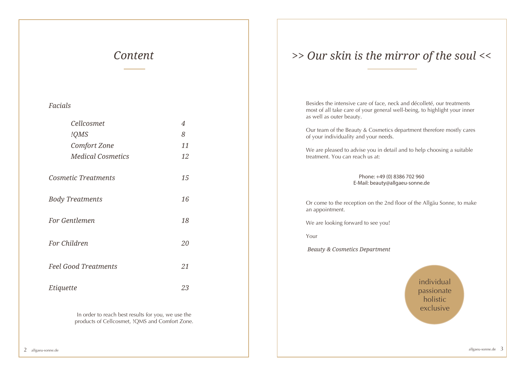### *Content*

### *Facials*

| Cellcosmet                  | $\overline{4}$ |
|-----------------------------|----------------|
| !QMS                        | 8              |
| <b>Comfort Zone</b>         | 11             |
| <b>Medical Cosmetics</b>    | 12             |
| <b>Cosmetic Treatments</b>  | 15             |
| <b>Body Treatments</b>      | 16             |
| For Gentlemen               | 18             |
| For Children                | 20             |
| <b>Feel Good Treatments</b> | 21             |
| Etiquette                   | 23             |

In order to reach best results for you, we use the products of Cellcosmet, !QMS and Comfort Zone.

### *>> Our skin is the mirror of the soul <<*

Besides the intensive care of face, neck and décolleté, our treatments most of all take care of your general well-being, to highlight your inner as well as outer beauty.

Our team of the Beauty & Cosmetics department therefore mostly cares of your individuality and your needs.

We are pleased to advise you in detail and to help choosing a suitable treatment. You can reach us at:

> Phone: +49 (0) 8386 702 960 E-Mail: beauty@allgaeu-sonne.de

Or come to the reception on the 2nd floor of the Allgäu Sonne, to make an appointment.

We are looking forward to see you!

Your

 *Beauty & Cosmetics Department*

individual passionate holistic exclusive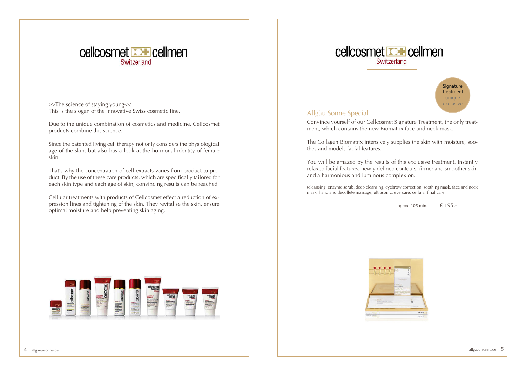

>>The science of staying young<< This is the slogan of the innovative Swiss cosmetic line.

Due to the unique combination of cosmetics and medicine, Cellcosmet products combine this science.

Since the patented living cell therapy not only considers the physiological age of the skin, but also has a look at the hormonal identity of female skin.

That's why the concentration of cell extracts varies from product to product. By the use of these care products, which are specifically tailored for each skin type and each age of skin, convincing results can be reached:

Cellular treatments with products of Cellcosmet effect a reduction of expression lines and tightening of the skin. They revitalise the skin, ensure optimal moisture and help preventing skin aging.





### Allgäu Sonne Special

Convince yourself of our Cellcosmet Signature Treatment, the only treatment, which contains the new Biomatrix face and neck mask.

The Collagen Biomatrix intensively supplies the skin with moisture, soothes and models facial features.

You will be amazed by the results of this exclusive treatment. Instantly relaxed facial features, newly defined contours, firmer and smoother skin and a harmonious and luminous complexion.

(cleansing, enzyme scrub, deep cleansing, eyebrow correction, soothing mask, face and neck mask, hand and décolleté massage, ultrasonic, eye care, cellular final care)

approx. 105 min.  $\epsilon$  195,-



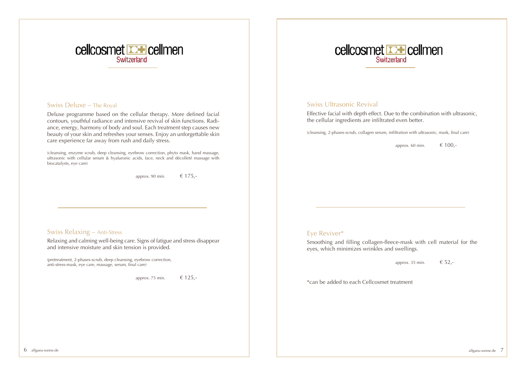

### cellcosmet **D+** cellmen Switzerland

### Swiss Deluxe – The Royal

Deluxe programme based on the cellular therapy. More defined facial contours, youthful radiance and intensive revival of skin functions. Radiance, energy, harmony of body and soul. Each treatment step causes new beauty of your skin and refreshes your senses. Enjoy an unforgettable skin care experience far away from rush and daily stress.

(cleansing, enzyme scrub, deep cleansing, eyebrow correction, phyto mask, hand massage, ultrasonic with cellular serum & hyaluronic acids, face, neck and décolleté massage with biocatalysts, eye care)

approx. 90 min.  $\epsilon$  175,-

### Swiss Relaxing – Anti-Stress

Relaxing and calming well-being care. Signs of fatigue and stress disappear and intensive moisture and skin tension is provided.

(pretreatment, 2-phases-scrub, deep cleansing, eyebrow correction, anti-stress-mask, eye care, massage, serum, final care)

approx. 75 min.  $\epsilon$  125,-

### Swiss Ultrasonic Revival

Effective facial with depth effect. Due to the combination with ultrasonic, the cellular ingredients are infiltrated even better.

(cleansing, 2-phases-scrub, collagen serum, infiltration with ultrasonic, mask, final care)

approx. 60 min.  $\epsilon$  100,-

### Eye Reviver\*

Smoothing and filling collagen-fleece-mask with cell material for the eyes, which minimizes wrinkles and swellings.

approx. 35 min.  $\epsilon$  52,-

\*can be added to each Cellcosmet treatment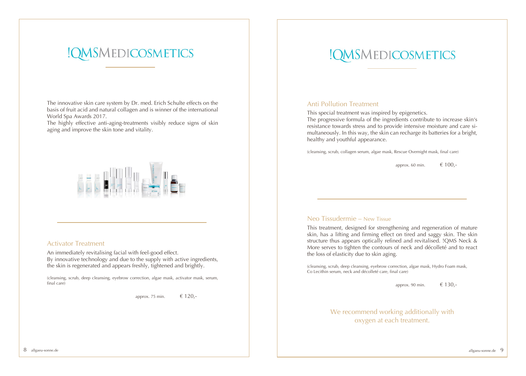# !QMSMEDICOSMETICS

The innovative skin care system by Dr. med. Erich Schulte effects on the basis of fruit acid and natural collagen and is winner of the international World Spa Awards 2017.

The highly effective anti-aging-treatments visibly reduce signs of skin aging and improve the skin tone and vitality.



### Activator Treatment

An immediately revitalising facial with feel-good effect. By innovative technology and due to the supply with active ingredients, the skin is regenerated and appears freshly, tightened and brightly.

(cleansing, scrub, deep cleansing, eyebrow correction, algae mask, activator mask, serum, final care)

approx. 75 min.  $\epsilon$  120,-

# !QMSMEDICOSMETICS

### Anti Pollution Treatment

This special treatment was inspired by epigenetics.

The progressive formula of the ingredients contribute to increase skin's resistance towards stress and to provide intensive moisture and care simultaneously. In this way, the skin can recharge its batteries for a bright, healthy and youthful appearance.

(cleansing, scrub, collagen serum, algae mask, Rescue Overnight mask, final care)

approx. 60 min.  $\epsilon$  100,-

### Neo Tissudermie – New Tissue

This treatment, designed for strengthening and regeneration of mature skin, has a lifting and firming effect on tired and saggy skin. The skin structure thus appears optically refined and revitalised. !QMS Neck & More serves to tighten the contours of neck and décolleté and to react the loss of elasticity due to skin aging.

(cleansing, scrub, deep cleansing, eyebrow correction, algae mask, Hydro Foam mask, Co Lecithin serum, neck and décolleté care, final care)

approx. 90 min.  $\epsilon$  130,-

We recommend working additionally with oxygen at each treatment.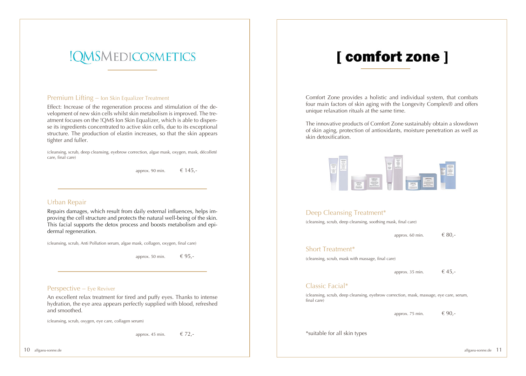# !QMSMEDICOSMETICS

#### Premium Lifting – Ion Skin Equalizer Treatment

Effect: Increase of the regeneration process and stimulation of the development of new skin cells whilst skin metabolism is improved. The treatment focuses on the !QMS Ion Skin Equalizer, which is able to dispense its ingredients concentrated to active skin cells, due to its exceptional structure. The production of elastin increases, so that the skin appears tighter and fuller.

(cleansing, scrub, deep cleansing, eyebrow correction, algae mask, oxygen, mask, décolleté care, final care)

approx. 90 min.  $\epsilon$  145,-

### Urban Repair

Repairs damages, which result from daily external influences, helps improving the cell structure and protects the natural well-being of the skin. This facial supports the detox process and boosts metabolism and epidermal regeneration.

(cleansing, scrub, Anti Pollution serum, algae mask, collagen, oxygen, final care)

approx. 50 min.  $\epsilon$  95,-

#### Perspective – Eye Reviver

An excellent relax treatment for tired and puffy eyes. Thanks to intense hydration, the eye area appears perfectly supplied with blood, refreshed and smoothed.

(cleansing, scrub, oxygen, eye care, collagen serum)

approx. 45 min.  $\epsilon$  72,-

# [ comfort zone ]

Comfort Zone provides a holistic and individual system, that combats four main factors of skin aging with the Longevity Complex® and offers unique relaxation rituals at the same time.

The innovative products of Comfort Zone sustainably obtain a slowdown of skin aging, protection of antioxidants, moisture penetration as well as skin detoxification.



### Deep Cleansing Treatment\*

(cleansing, scrub, deep cleansing, soothing mask, final care)

approx. 60 min.  $680,-$ 

#### Short Treatment\*

(cleansing, scrub, mask with massage, final care)

approx. 35 min.  $\epsilon$  45,-

#### Classic Facial\*

(cleansing, scrub, deep cleansing, eyebrow correction, mask, massage, eye care, serum, final care)

approx. 75 min.  $\epsilon$  90,-

\*suitable for all skin types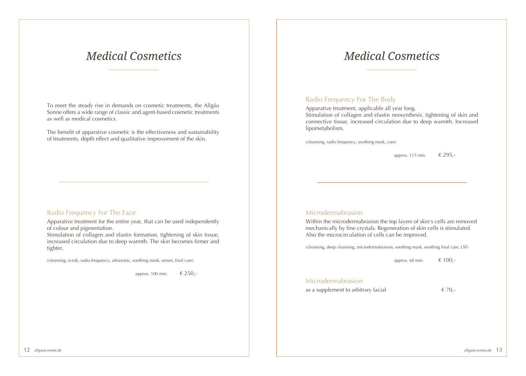### *Medical Cosmetics*

To meet the steady rise in demands on cosmetic treatments, the Allgäu Sonne offers a wide range of classic and agent-based cosmetic treatments as well as medical cosmetics.

The benefit of apparative cosmetic is the effectiveness and sustainability of treatments, depth effect and qualitative improvement of the skin.

### Radio Frequency For The Face

Apparative treatment for the entire year, that can be used independently of colour and pigmentation.

Stimulation of collagen and elastin formation, tightening of skin tissue, increased circulation due to deep warmth. The skin becomes firmer and tighter.

(cleansing, scrub, radio frequency, ultrasonic, soothing mask, serum, final care)

approx. 100 min.  $\epsilon$  250,-

### *Medical Cosmetics*

### Radio Frequency For The Body

Apparative treatment, applicable all year long. Stimulation of collagen and elastin neosynthesis, tightening of skin and connective tissue, increased circulation due to deep warmth. Increased lipometabolism.

(cleansing, radio frequency, soothing mask, care)

approx. 115 min.  $\epsilon$  295,-

### Microdermabrasion

Within the microdermabrasion the top layers of skin's cells are removed mechanically by fine crystals. Regeneration of skin cells is stimulated. Also the microcirculation of cells can be improved.

(cleansing, deep cleansing, microdermabrasion, soothing mask, soothing final care, LSF)

approx. 60 min.  $\epsilon$  100,-

#### Microdermabrasion

as a supplement to arbitrary facial  $\epsilon$  70,-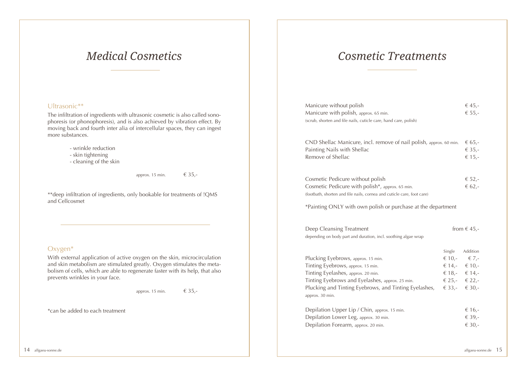### *Medical Cosmetics*

### Ultrasonic\*\*

The infiltration of ingredients with ultrasonic cosmetic is also called sonophoresis (or phonophoresis), and is also achieved by vibration effect. By moving back and fourth inter alia of intercellular spaces, they can ingest more substances.

- wrinkle reduction
- skin tightening
- cleaning of the skin

approx. 15 min.  $6.35,-$ 

\*\*deep infiltration of ingredients, only bookable for treatments of !QMS and Cellcosmet

### Oxygen\*

With external application of active oxygen on the skin, microcirculation and skin metabolism are stimulated greatly. Oxygen stimulates the metabolism of cells, which are able to regenerate faster with its help, that also prevents wrinkles in your face.

approx. 15 min.  $\epsilon$  35,-

\*can be added to each treatment

### *Cosmetic Treatments*

| Manicure without polish<br>Manicure with polish, approx. 65 min.<br>(scrub, shorten and file nails, cuticle care, hand care, polish)                                                                                                         |                  | € 45,-<br>€ 55,-                                                                                                |
|----------------------------------------------------------------------------------------------------------------------------------------------------------------------------------------------------------------------------------------------|------------------|-----------------------------------------------------------------------------------------------------------------|
| CND Shellac Manicure, incl. remove of nail polish, approx. 60 min.<br>Painting Nails with Shellac<br>Remove of Shellac                                                                                                                       |                  | € 65,-<br>€ 35,-<br>€ 15,-                                                                                      |
| Cosmetic Pedicure without polish<br>Cosmetic Pedicure with polish*, approx. 65 min.<br>(footbath, shorten and file nails, cornea and cuticle care, foot care)<br>*Painting ONLY with own polish or purchase at the department                |                  | € 52,-<br>€ 62,-                                                                                                |
| Deep Cleansing Treatment<br>depending on body part and duration, incl. soothing algae wrap                                                                                                                                                   | from $\in$ 45,-  |                                                                                                                 |
| Plucking Eyebrows, approx. 15 min.<br>Tinting Eyebrows, approx. 15 min.<br>Tinting Eyelashes, approx. 20 min.<br>Tinting Eyebrows and Eyelashes, approx. 25 min.<br>Plucking and Tinting Eyebrows, and Tinting Eyelashes,<br>approx. 30 min. | Single<br>€ 33,- | Addition<br>€ 10,- $\epsilon$ 7,-<br>€ 14,- $\in$ 10,-<br>€ 18,- $\in$ 14,-<br>€ 25,- $\epsilon$ 22,-<br>€ 30,- |
| Depilation Upper Lip / Chin, approx. 15 min.<br>Depilation Lower Leg, approx. 30 min.<br>Depilation Forearm, approx. 20 min.                                                                                                                 |                  | € 16.<br>€ 39,-<br>€ 30,-                                                                                       |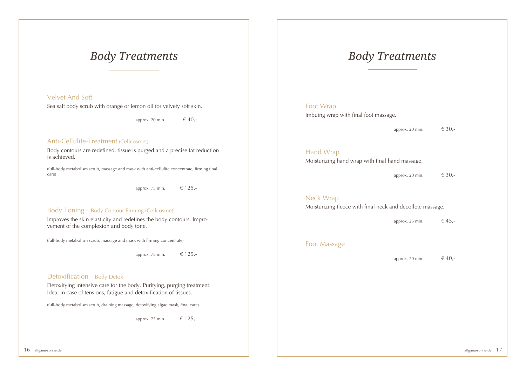### *Body Treatments*

### Velvet And Soft

Sea salt body scrub with orange or lemon oil for velvety soft skin.

approx. 20 min.  $\epsilon$  40,-

### Anti-Cellulite-Treatment (Cellcosmet)

Body contours are redefined, tissue is purged and a precise fat reduction is achieved.

(full-body metabolism scrub, massage and mask with anti-cellulite concentrate, firming final care)

approx. 75 min.  $\epsilon$  125,-

#### Body Toning – Body Contour Firming (Cellcosmet)

Improves the skin elasticity and redefines the body contours. Improvement of the complexion and body tone.

(full-body metabolism scrub, massage and mask with firming concentrate)

approx. 75 min.  $\epsilon$  125,-

### Detoxification – Body Detox

Detoxifying intensive care for the body. Purifying, purging treatment. Ideal in case of tensions, fatigue and detoxification of tissues.

(full-body metabolism scrub, draining massage, detoxifying algae mask, final care)

approx. 75 min.  $\epsilon$  125,-

### *Body Treatments*

### Foot Wrap Imbuing wrap with final foot massage.

approx. 20 min.  $\epsilon$  30.-

### Hand Wrap

Moisturizing hand wrap with final hand massage.

approx. 20 min.  $\epsilon$  30,-

#### Neck Wrap

Moisturizing fleece with final neck and décolleté massage.

approx. 25 min.  $\epsilon$  45,-

#### Foot Massage

approx. 20 min.  $\epsilon$  40,-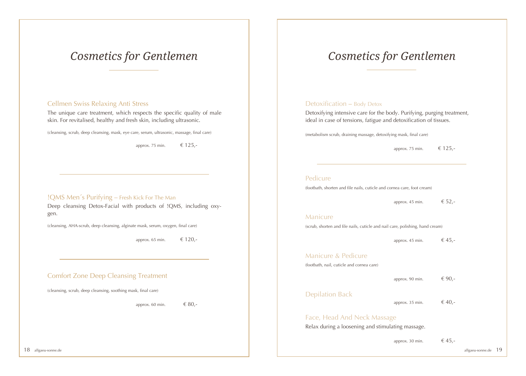### *Cosmetics for Gentlemen*

### Cellmen Swiss Relaxing Anti Stress

The unique care treatment, which respects the specific quality of male skin. For revitalised, healthy and fresh skin, including ultrasonic.

(cleansing, scrub, deep cleansing, mask, eye care, serum, ultrasonic, massage, final care)

approx. 75 min.  $\epsilon$  125,-

### !QMS Men´s Purifying – Fresh Kick For The Man

Deep cleansing Detox-Facial with products of !QMS, including oxygen.

(cleansing, AHA-scrub, deep cleansing, alginate mask, serum, oxygen, final care)

approx. 65 min.  $\epsilon$  120,-

### Comfort Zone Deep Cleansing Treatment

(cleansing, scrub, deep cleansing, soothing mask, final care)

approx. 60 min.  $\epsilon$  80,-

# *Cosmetics for Gentlemen*

### Detoxification – Body Detox

Detoxifying intensive care for the body. Purifying, purging treatment, ideal in case of tensions, fatigue and detoxification of tissues.

(metabolism scrub, draining massage, detoxifying mask, final care)

approx. 75 min.  $\epsilon$  125,-

#### Pedicure

(footbath, shorten and file nails, cuticle and cornea care, foot cream)

approx. 45 min.  $\epsilon$  52,-

#### Manicure

(scrub, shorten and file nails, cuticle and nail care, polishing, hand cream)

approx. 45 min.  $\epsilon$  45,-

Manicure & Pedicure

(footbath, nail, cuticle and cornea care)

approx. 90 min.  $\epsilon$  90,-

Depilation Back

approx. 35 min.  $\epsilon$  40,-

### Face, Head And Neck Massage

Relax during a loosening and stimulating massage.

approx. 30 min.  $\epsilon$  45,-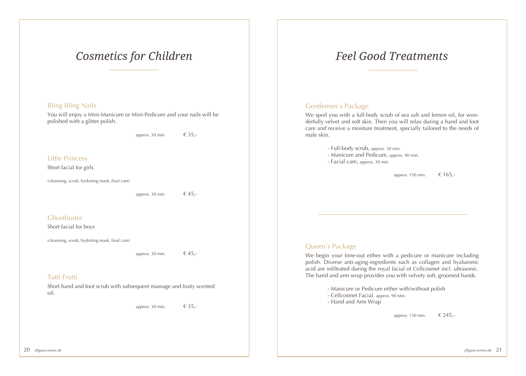### *Cosmetics for Children*

### Bling Bling Nails

You will enjoy a Mini-Manicure or Mini-Pedicure and your nails will be polished with a glitter polish.

approx. 30 min.  $\epsilon$  35,-

Little Princess

Short facial for girls

(cleansing, scrub, hydrating mask, final care)

approx. 30 min.  $\epsilon$  45,-

**Ghostbuster** 

Short facial for boys

(cleansing, scrub, hydrating mask, final care)

approx. 30 min.  $\epsilon$  45,-

### Tutti Frutti

Short hand and foot scrub with subsequent massage and fruity scented oil.

approx. 30 min.  $\epsilon$  35,-

# *Feel Good Treatments*

### Gentlemen´s Package

We spoil you with a full-body scrub of sea salt and lemon oil, for wonderfully velvet and soft skin. Then you will relax during a hand and foot care and receive a moisture treatment, specially tailored to the needs of male skin.

- Full-body scrub, approx. 30 min.

- Manicure and Pedicure, approx. 90 min.
- Facial care, approx. 30 min.

approx. 150 min. € 165,-

### Queen´s Package

We begin your time-out either with a pedicure or manicure including polish. Diverse anti-aging-ingredients such as collagen and hyaluronic acid are infiltrated during the royal facial of Cellcosmet incl. ultrasonic. The hand and arm wrap provides you with velvety soft, groomed hands.

- Manicure or Pedicure either with/without polish

- Cellcosmet Facial, approx. 90 Min.
- Hand and Arm Wrap

approx. 150 min.  $\epsilon$  245,-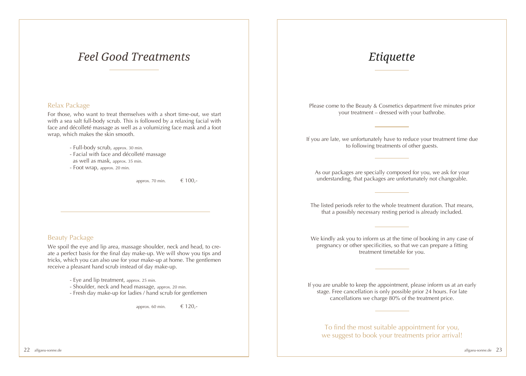### *Feel Good Treatments*

### Relax Package

For those, who want to treat themselves with a short time-out, we start with a sea salt full-body scrub. This is followed by a relaxing facial with face and décolleté massage as well as a volumizing face mask and a foot wrap, which makes the skin smooth.

- Full-body scrub, approx. 30 min.
- Facial with face and décolleté massage
- as well as mask, approx. 35 min.
- Foot wrap, approx. 20 min.

approx. 70 min.  $\epsilon$  100,-

### Beauty Package

We spoil the eye and lip area, massage shoulder, neck and head, to create a perfect basis for the final day make-up. We will show you tips and tricks, which you can also use for your make-up at home. The gentlemen receive a pleasant hand scrub instead of day make-up.

- Eye and lip treatment, approx. 25 min.
- Shoulder, neck and head massage, approx. 20 min.
- Fresh day make-up for ladies / hand scrub for gentlemen

approx. 60 min.  $\epsilon$  120,-

### *Etiquette*

Please come to the Beauty & Cosmetics department five minutes prior your treatment – dressed with your bathrobe.

If you are late, we unfortunately have to reduce your treatment time due to following treatments of other guests.

As our packages are specially composed for you, we ask for your understanding, that packages are unfortunately not changeable.

The listed periods refer to the whole treatment duration. That means, that a possibly necessary resting period is already included.

We kindly ask you to inform us at the time of booking in any case of pregnancy or other specificities, so that we can prepare a fitting treatment timetable for you.

If you are unable to keep the appointment, please inform us at an early stage. Free cancellation is only possible prior 24 hours. For late cancellations we charge 80% of the treatment price.

To find the most suitable appointment for you, we suggest to book your treatments prior arrival!